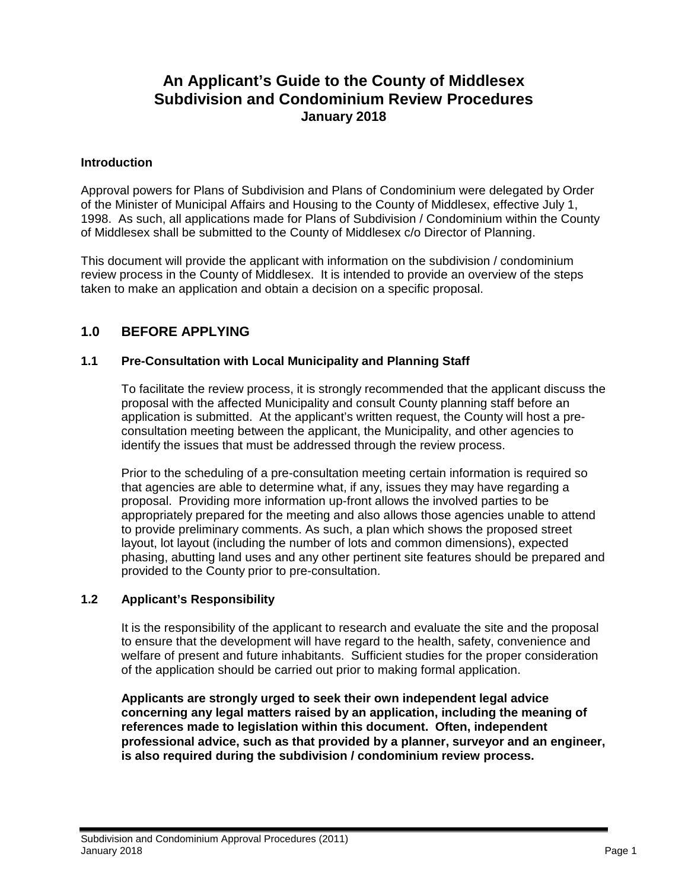# **An Applicant's Guide to the County of Middlesex Subdivision and Condominium Review Procedures January 2018**

#### **Introduction**

Approval powers for Plans of Subdivision and Plans of Condominium were delegated by Order of the Minister of Municipal Affairs and Housing to the County of Middlesex, effective July 1, 1998. As such, all applications made for Plans of Subdivision / Condominium within the County of Middlesex shall be submitted to the County of Middlesex c/o Director of Planning.

This document will provide the applicant with information on the subdivision / condominium review process in the County of Middlesex. It is intended to provide an overview of the steps taken to make an application and obtain a decision on a specific proposal.

# **1.0 BEFORE APPLYING**

#### **1.1 Pre-Consultation with Local Municipality and Planning Staff**

To facilitate the review process, it is strongly recommended that the applicant discuss the proposal with the affected Municipality and consult County planning staff before an application is submitted. At the applicant's written request, the County will host a preconsultation meeting between the applicant, the Municipality, and other agencies to identify the issues that must be addressed through the review process.

Prior to the scheduling of a pre-consultation meeting certain information is required so that agencies are able to determine what, if any, issues they may have regarding a proposal. Providing more information up-front allows the involved parties to be appropriately prepared for the meeting and also allows those agencies unable to attend to provide preliminary comments. As such, a plan which shows the proposed street layout, lot layout (including the number of lots and common dimensions), expected phasing, abutting land uses and any other pertinent site features should be prepared and provided to the County prior to pre-consultation.

#### **1.2 Applicant's Responsibility**

It is the responsibility of the applicant to research and evaluate the site and the proposal to ensure that the development will have regard to the health, safety, convenience and welfare of present and future inhabitants. Sufficient studies for the proper consideration of the application should be carried out prior to making formal application.

**Applicants are strongly urged to seek their own independent legal advice concerning any legal matters raised by an application, including the meaning of references made to legislation within this document. Often, independent professional advice, such as that provided by a planner, surveyor and an engineer, is also required during the subdivision / condominium review process.**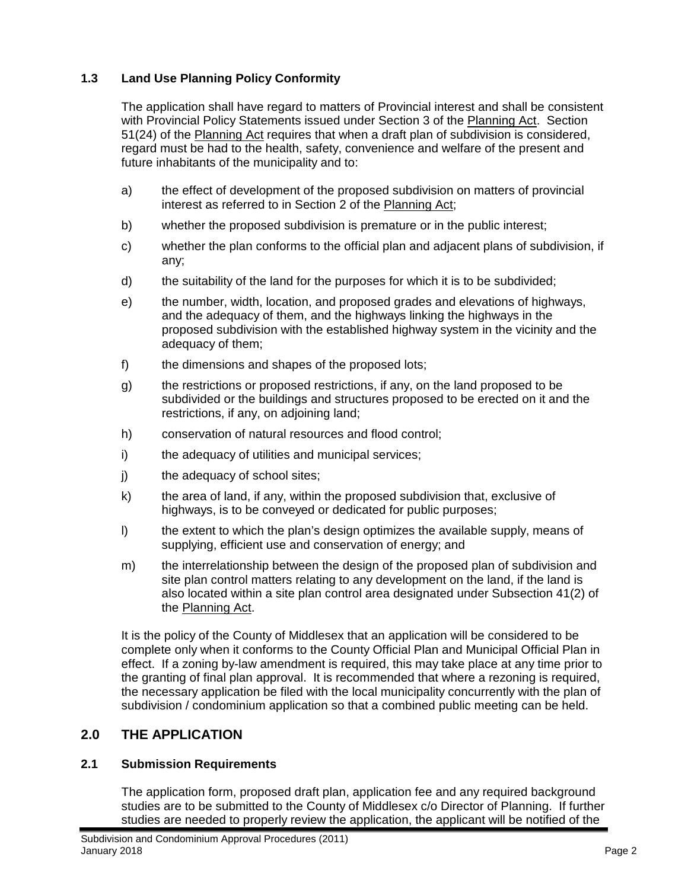# **1.3 Land Use Planning Policy Conformity**

The application shall have regard to matters of Provincial interest and shall be consistent with Provincial Policy Statements issued under Section 3 of the Planning Act. Section 51(24) of the Planning Act requires that when a draft plan of subdivision is considered, regard must be had to the health, safety, convenience and welfare of the present and future inhabitants of the municipality and to:

- a) the effect of development of the proposed subdivision on matters of provincial interest as referred to in Section 2 of the Planning Act;
- b) whether the proposed subdivision is premature or in the public interest;
- c) whether the plan conforms to the official plan and adjacent plans of subdivision, if any;
- d) the suitability of the land for the purposes for which it is to be subdivided;
- e) the number, width, location, and proposed grades and elevations of highways, and the adequacy of them, and the highways linking the highways in the proposed subdivision with the established highway system in the vicinity and the adequacy of them;
- f) the dimensions and shapes of the proposed lots;
- g) the restrictions or proposed restrictions, if any, on the land proposed to be subdivided or the buildings and structures proposed to be erected on it and the restrictions, if any, on adjoining land;
- h) conservation of natural resources and flood control;
- i) the adequacy of utilities and municipal services;
- j) the adequacy of school sites;
- k) the area of land, if any, within the proposed subdivision that, exclusive of highways, is to be conveyed or dedicated for public purposes;
- l) the extent to which the plan's design optimizes the available supply, means of supplying, efficient use and conservation of energy; and
- m) the interrelationship between the design of the proposed plan of subdivision and site plan control matters relating to any development on the land, if the land is also located within a site plan control area designated under Subsection 41(2) of the Planning Act.

It is the policy of the County of Middlesex that an application will be considered to be complete only when it conforms to the County Official Plan and Municipal Official Plan in effect. If a zoning by-law amendment is required, this may take place at any time prior to the granting of final plan approval. It is recommended that where a rezoning is required, the necessary application be filed with the local municipality concurrently with the plan of subdivision / condominium application so that a combined public meeting can be held.

# **2.0 THE APPLICATION**

# **2.1 Submission Requirements**

The application form, proposed draft plan, application fee and any required background studies are to be submitted to the County of Middlesex c/o Director of Planning. If further studies are needed to properly review the application, the applicant will be notified of the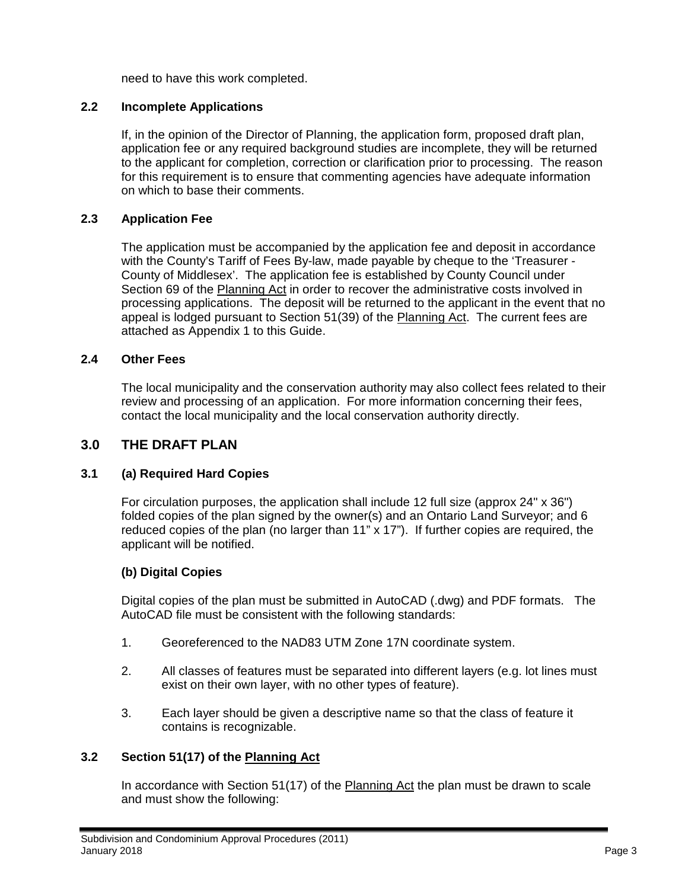need to have this work completed.

#### **2.2 Incomplete Applications**

If, in the opinion of the Director of Planning, the application form, proposed draft plan, application fee or any required background studies are incomplete, they will be returned to the applicant for completion, correction or clarification prior to processing. The reason for this requirement is to ensure that commenting agencies have adequate information on which to base their comments.

### **2.3 Application Fee**

The application must be accompanied by the application fee and deposit in accordance with the County's Tariff of Fees By-law, made payable by cheque to the 'Treasurer - County of Middlesex'. The application fee is established by County Council under Section 69 of the Planning Act in order to recover the administrative costs involved in processing applications. The deposit will be returned to the applicant in the event that no appeal is lodged pursuant to Section 51(39) of the Planning Act. The current fees are attached as Appendix 1 to this Guide.

#### **2.4 Other Fees**

The local municipality and the conservation authority may also collect fees related to their review and processing of an application. For more information concerning their fees, contact the local municipality and the local conservation authority directly.

### **3.0 THE DRAFT PLAN**

#### **3.1 (a) Required Hard Copies**

For circulation purposes, the application shall include 12 full size (approx 24" x 36") folded copies of the plan signed by the owner(s) and an Ontario Land Surveyor; and 6 reduced copies of the plan (no larger than  $11" \times 17"$ ). If further copies are required, the applicant will be notified.

#### **(b) Digital Copies**

Digital copies of the plan must be submitted in AutoCAD (.dwg) and PDF formats. The AutoCAD file must be consistent with the following standards:

- 1. Georeferenced to the NAD83 UTM Zone 17N coordinate system.
- 2. All classes of features must be separated into different layers (e.g. lot lines must exist on their own layer, with no other types of feature).
- 3. Each layer should be given a descriptive name so that the class of feature it contains is recognizable.

#### **3.2 Section 51(17) of the Planning Act**

In accordance with Section 51(17) of the Planning Act the plan must be drawn to scale and must show the following: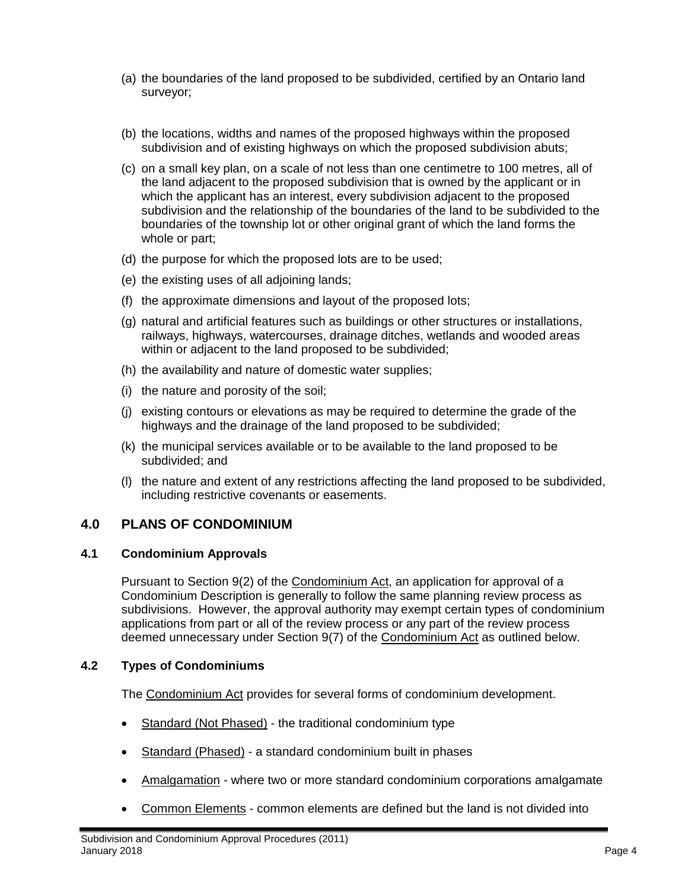- (a) the boundaries of the land proposed to be subdivided, certified by an Ontario land surveyor;
- (b) the locations, widths and names of the proposed highways within the proposed subdivision and of existing highways on which the proposed subdivision abuts;
- (c) on a small key plan, on a scale of not less than one centimetre to 100 metres, all of the land adjacent to the proposed subdivision that is owned by the applicant or in which the applicant has an interest, every subdivision adjacent to the proposed subdivision and the relationship of the boundaries of the land to be subdivided to the boundaries of the township lot or other original grant of which the land forms the whole or part;
- (d) the purpose for which the proposed lots are to be used;
- (e) the existing uses of all adjoining lands;
- (f) the approximate dimensions and layout of the proposed lots;
- (g) natural and artificial features such as buildings or other structures or installations, railways, highways, watercourses, drainage ditches, wetlands and wooded areas within or adjacent to the land proposed to be subdivided;
- (h) the availability and nature of domestic water supplies;
- (i) the nature and porosity of the soil;
- (j) existing contours or elevations as may be required to determine the grade of the highways and the drainage of the land proposed to be subdivided;
- (k) the municipal services available or to be available to the land proposed to be subdivided; and
- (l) the nature and extent of any restrictions affecting the land proposed to be subdivided, including restrictive covenants or easements.

# **4.0 PLANS OF CONDOMINIUM**

#### **4.1 Condominium Approvals**

Pursuant to Section 9(2) of the Condominium Act, an application for approval of a Condominium Description is generally to follow the same planning review process as subdivisions. However, the approval authority may exempt certain types of condominium applications from part or all of the review process or any part of the review process deemed unnecessary under Section 9(7) of the Condominium Act as outlined below.

#### **4.2 Types of Condominiums**

The Condominium Act provides for several forms of condominium development.

- Standard (Not Phased) the traditional condominium type
- Standard (Phased) a standard condominium built in phases
- Amalgamation where two or more standard condominium corporations amalgamate
- Common Elements common elements are defined but the land is not divided into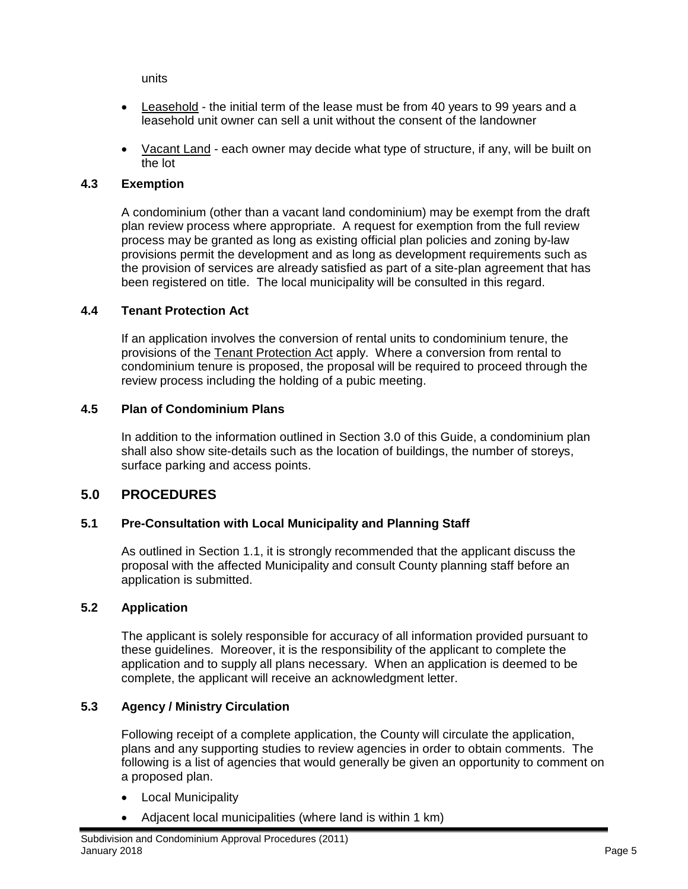units

- Leasehold the initial term of the lease must be from 40 years to 99 years and a leasehold unit owner can sell a unit without the consent of the landowner
- Vacant Land each owner may decide what type of structure, if any, will be built on the lot

#### **4.3 Exemption**

A condominium (other than a vacant land condominium) may be exempt from the draft plan review process where appropriate. A request for exemption from the full review process may be granted as long as existing official plan policies and zoning by-law provisions permit the development and as long as development requirements such as the provision of services are already satisfied as part of a site-plan agreement that has been registered on title. The local municipality will be consulted in this regard.

#### **4.4 Tenant Protection Act**

If an application involves the conversion of rental units to condominium tenure, the provisions of the Tenant Protection Act apply. Where a conversion from rental to condominium tenure is proposed, the proposal will be required to proceed through the review process including the holding of a pubic meeting.

#### **4.5 Plan of Condominium Plans**

In addition to the information outlined in Section 3.0 of this Guide, a condominium plan shall also show site-details such as the location of buildings, the number of storeys, surface parking and access points.

# **5.0 PROCEDURES**

#### **5.1 Pre-Consultation with Local Municipality and Planning Staff**

As outlined in Section 1.1, it is strongly recommended that the applicant discuss the proposal with the affected Municipality and consult County planning staff before an application is submitted.

#### **5.2 Application**

The applicant is solely responsible for accuracy of all information provided pursuant to these guidelines. Moreover, it is the responsibility of the applicant to complete the application and to supply all plans necessary. When an application is deemed to be complete, the applicant will receive an acknowledgment letter.

#### **5.3 Agency / Ministry Circulation**

Following receipt of a complete application, the County will circulate the application, plans and any supporting studies to review agencies in order to obtain comments. The following is a list of agencies that would generally be given an opportunity to comment on a proposed plan.

- Local Municipality
- Adjacent local municipalities (where land is within 1 km)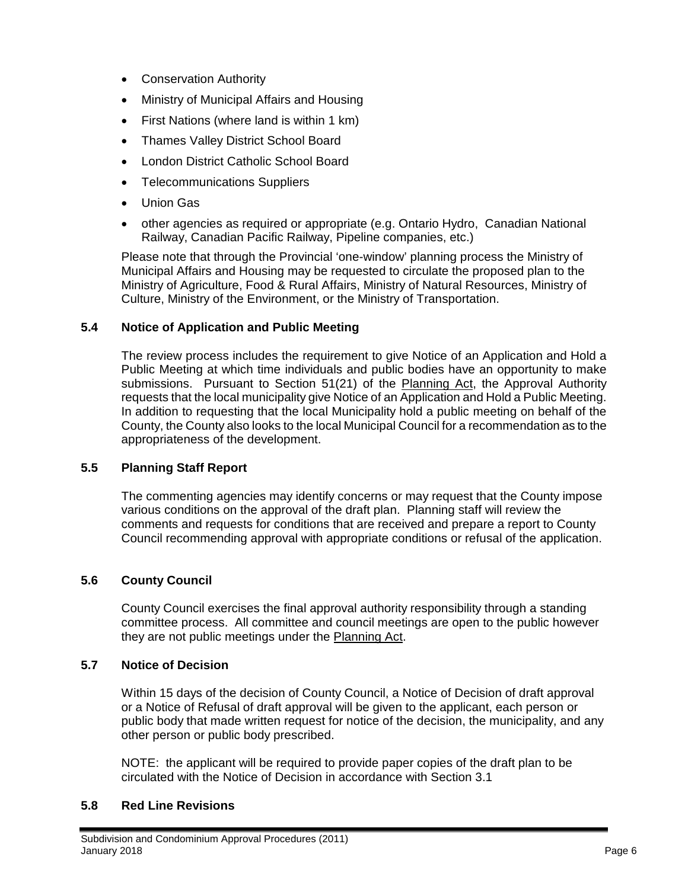- Conservation Authority
- Ministry of Municipal Affairs and Housing
- First Nations (where land is within 1 km)
- Thames Valley District School Board
- London District Catholic School Board
- Telecommunications Suppliers
- Union Gas
- other agencies as required or appropriate (e.g. Ontario Hydro, Canadian National Railway, Canadian Pacific Railway, Pipeline companies, etc.)

Please note that through the Provincial 'one-window' planning process the Ministry of Municipal Affairs and Housing may be requested to circulate the proposed plan to the Ministry of Agriculture, Food & Rural Affairs, Ministry of Natural Resources, Ministry of Culture, Ministry of the Environment, or the Ministry of Transportation.

#### **5.4 Notice of Application and Public Meeting**

The review process includes the requirement to give Notice of an Application and Hold a Public Meeting at which time individuals and public bodies have an opportunity to make submissions. Pursuant to Section 51(21) of the Planning Act, the Approval Authority requests that the local municipality give Notice of an Application and Hold a Public Meeting. In addition to requesting that the local Municipality hold a public meeting on behalf of the County, the County also looks to the local Municipal Council for a recommendation as to the appropriateness of the development.

#### **5.5 Planning Staff Report**

The commenting agencies may identify concerns or may request that the County impose various conditions on the approval of the draft plan. Planning staff will review the comments and requests for conditions that are received and prepare a report to County Council recommending approval with appropriate conditions or refusal of the application.

#### **5.6 County Council**

County Council exercises the final approval authority responsibility through a standing committee process. All committee and council meetings are open to the public however they are not public meetings under the Planning Act.

#### **5.7 Notice of Decision**

Within 15 days of the decision of County Council, a Notice of Decision of draft approval or a Notice of Refusal of draft approval will be given to the applicant, each person or public body that made written request for notice of the decision, the municipality, and any other person or public body prescribed.

NOTE: the applicant will be required to provide paper copies of the draft plan to be circulated with the Notice of Decision in accordance with Section 3.1

#### **5.8 Red Line Revisions**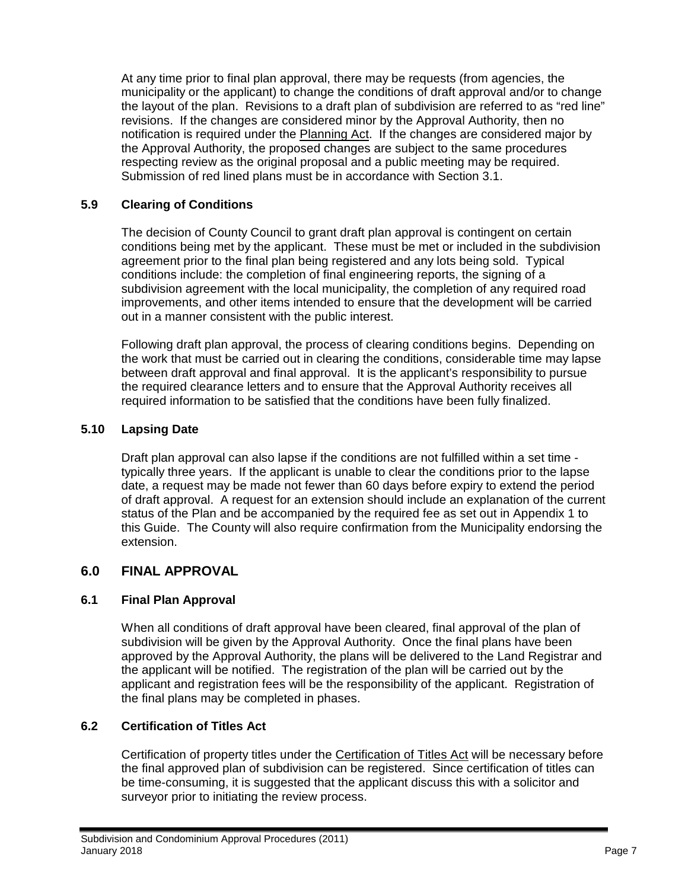At any time prior to final plan approval, there may be requests (from agencies, the municipality or the applicant) to change the conditions of draft approval and/or to change the layout of the plan. Revisions to a draft plan of subdivision are referred to as "red line" revisions. If the changes are considered minor by the Approval Authority, then no notification is required under the Planning Act. If the changes are considered major by the Approval Authority, the proposed changes are subject to the same procedures respecting review as the original proposal and a public meeting may be required. Submission of red lined plans must be in accordance with Section 3.1.

### **5.9 Clearing of Conditions**

The decision of County Council to grant draft plan approval is contingent on certain conditions being met by the applicant. These must be met or included in the subdivision agreement prior to the final plan being registered and any lots being sold. Typical conditions include: the completion of final engineering reports, the signing of a subdivision agreement with the local municipality, the completion of any required road improvements, and other items intended to ensure that the development will be carried out in a manner consistent with the public interest.

Following draft plan approval, the process of clearing conditions begins. Depending on the work that must be carried out in clearing the conditions, considerable time may lapse between draft approval and final approval. It is the applicant's responsibility to pursue the required clearance letters and to ensure that the Approval Authority receives all required information to be satisfied that the conditions have been fully finalized.

### **5.10 Lapsing Date**

Draft plan approval can also lapse if the conditions are not fulfilled within a set time typically three years. If the applicant is unable to clear the conditions prior to the lapse date, a request may be made not fewer than 60 days before expiry to extend the period of draft approval. A request for an extension should include an explanation of the current status of the Plan and be accompanied by the required fee as set out in Appendix 1 to this Guide. The County will also require confirmation from the Municipality endorsing the extension.

# **6.0 FINAL APPROVAL**

#### **6.1 Final Plan Approval**

When all conditions of draft approval have been cleared, final approval of the plan of subdivision will be given by the Approval Authority. Once the final plans have been approved by the Approval Authority, the plans will be delivered to the Land Registrar and the applicant will be notified. The registration of the plan will be carried out by the applicant and registration fees will be the responsibility of the applicant. Registration of the final plans may be completed in phases.

#### **6.2 Certification of Titles Act**

Certification of property titles under the Certification of Titles Act will be necessary before the final approved plan of subdivision can be registered. Since certification of titles can be time-consuming, it is suggested that the applicant discuss this with a solicitor and surveyor prior to initiating the review process.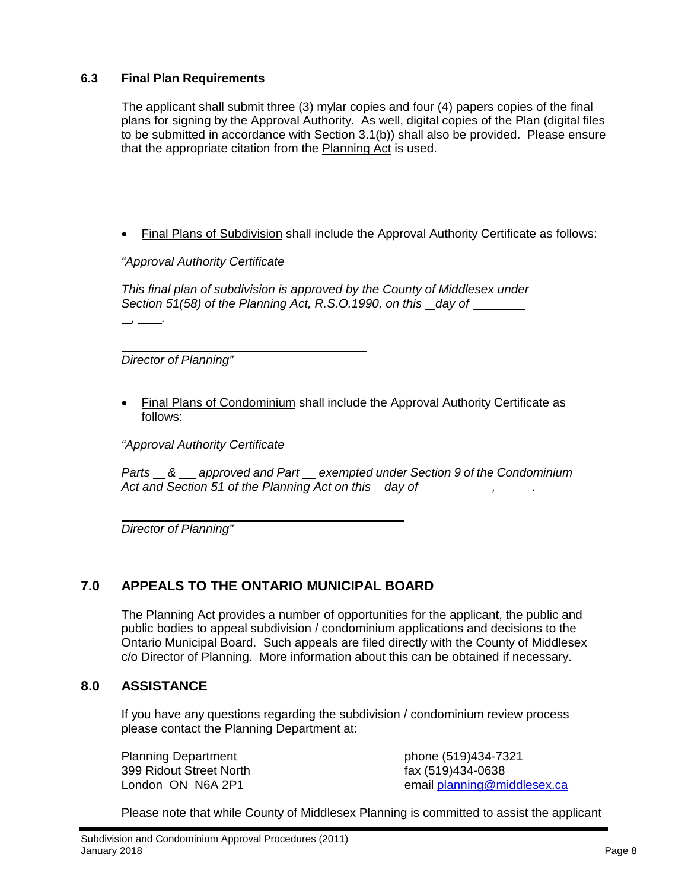### **6.3 Final Plan Requirements**

The applicant shall submit three (3) mylar copies and four (4) papers copies of the final plans for signing by the Approval Authority. As well, digital copies of the Plan (digital files to be submitted in accordance with Section 3.1(b)) shall also be provided. Please ensure that the appropriate citation from the Planning Act is used.

• Final Plans of Subdivision shall include the Approval Authority Certificate as follows:

*"Approval Authority Certificate*

*This final plan of subdivision is approved by the County of Middlesex under Section 51(58) of the Planning Act, R.S.O.1990, on this day of* 

 *Director of Planning"*

 *, .*

• Final Plans of Condominium shall include the Approval Authority Certificate as follows:

*"Approval Authority Certificate*

*Parts & approved and Part exempted under Section 9 of the Condominium*  Act and Section 51 of the Planning Act on this \_day of \_\_\_\_\_\_\_\_\_\_\_\_\_\_\_.

*Director of Planning"*

# **7.0 APPEALS TO THE ONTARIO MUNICIPAL BOARD**

The Planning Act provides a number of opportunities for the applicant, the public and public bodies to appeal subdivision / condominium applications and decisions to the Ontario Municipal Board. Such appeals are filed directly with the County of Middlesex c/o Director of Planning. More information about this can be obtained if necessary.

# **8.0 ASSISTANCE**

If you have any questions regarding the subdivision / condominium review process please contact the Planning Department at:

Planning Department **phone (519)434-7321** 399 Ridout Street North fax (519)434-0638<br>
London ON N6A 2P1 fax (519)434-0638

email [planning@middlesex.ca](mailto:planning@middlesex.ca)

Please note that while County of Middlesex Planning is committed to assist the applicant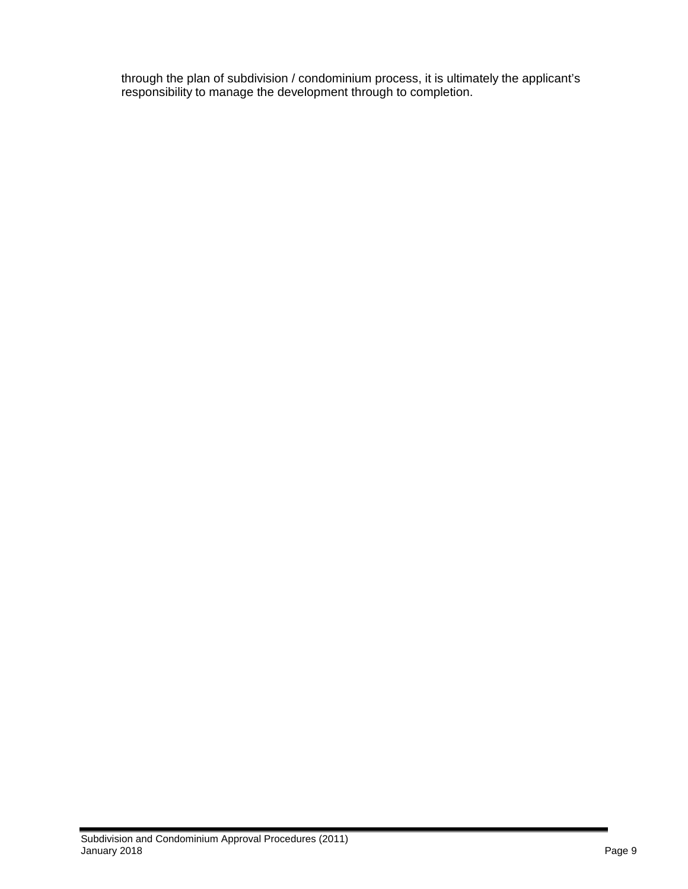through the plan of subdivision / condominium process, it is ultimately the applicant's responsibility to manage the development through to completion.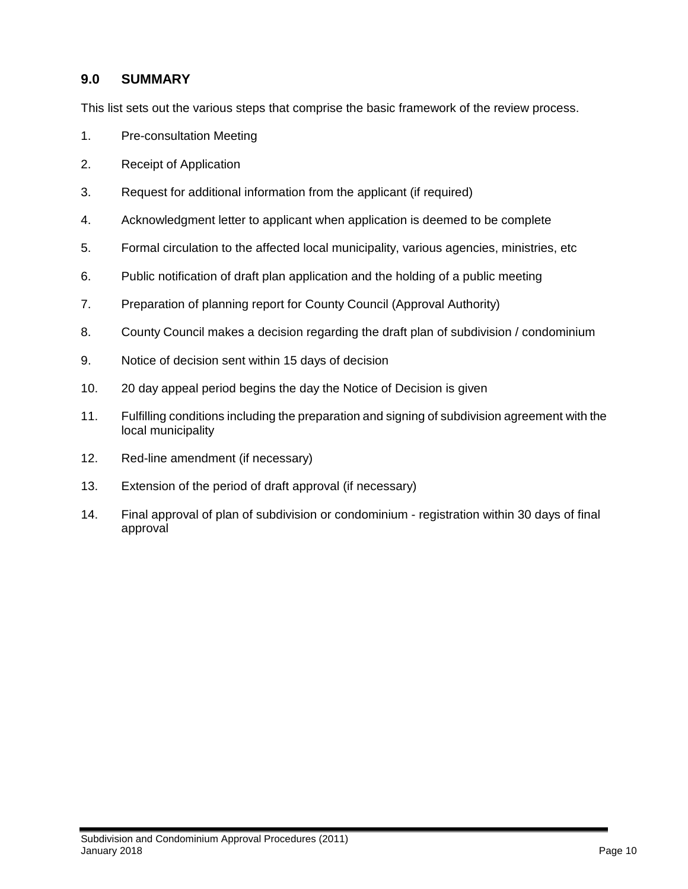# **9.0 SUMMARY**

This list sets out the various steps that comprise the basic framework of the review process.

- 1. Pre-consultation Meeting
- 2. Receipt of Application
- 3. Request for additional information from the applicant (if required)
- 4. Acknowledgment letter to applicant when application is deemed to be complete
- 5. Formal circulation to the affected local municipality, various agencies, ministries, etc
- 6. Public notification of draft plan application and the holding of a public meeting
- 7. Preparation of planning report for County Council (Approval Authority)
- 8. County Council makes a decision regarding the draft plan of subdivision / condominium
- 9. Notice of decision sent within 15 days of decision
- 10. 20 day appeal period begins the day the Notice of Decision is given
- 11. Fulfilling conditions including the preparation and signing of subdivision agreement with the local municipality
- 12. Red-line amendment (if necessary)
- 13. Extension of the period of draft approval (if necessary)
- 14. Final approval of plan of subdivision or condominium registration within 30 days of final approval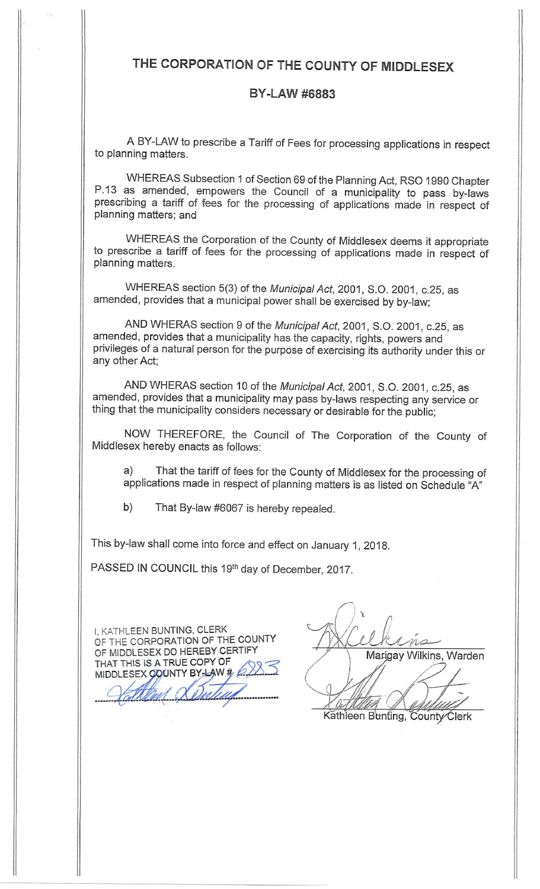# THE CORPORATION OF THE COUNTY OF MIDDLESEX

# **BY-LAW #6883**

A BY-LAW to prescribe a Tariff of Fees for processing applications in respect to planning matters.

WHEREAS Subsection 1 of Section 69 of the Planning Act, RSO 1990 Chapter P.13 as amended, empowers the Council of a municipality to pass by-laws prescribing a tariff of fees for the processing of applications made in respect of planning matters; and

WHEREAS the Corporation of the County of Middlesex deems it appropriate to prescribe a tariff of fees for the processing of applications made in respect of planning matters.

WHEREAS section 5(3) of the Municipal Act, 2001, S.O. 2001, c.25, as amended, provides that a municipal power shall be exercised by by-law;

AND WHERAS section 9 of the Municipal Act, 2001, S.O. 2001, c.25, as amended, provides that a municipality has the capacity, rights, powers and privileges of a natural person for the purpose of exercising its authority under this or any other Act;

AND WHERAS section 10 of the Municipal Act, 2001, S.O. 2001, c.25, as amended, provides that a municipality may pass by-laws respecting any service or thing that the municipality considers necessary or desirable for the public;

NOW THEREFORE, the Council of The Corporation of the County of Middlesex hereby enacts as follows:

That the tariff of fees for the County of Middlesex for the processing of a) applications made in respect of planning matters is as listed on Schedule "A"

b) That By-law #6067 is hereby repealed.

This by-law shall come into force and effect on January 1, 2018.

PASSED IN COUNCIL this 19th day of December, 2017.

I, KATHLEEN BUNTING, CLERK OF THE CORPORATION OF THE COUNTY OF MIDDLESEX DO HEREBY CERTIFY THAT THIS IS A TRUE COPY OF MIDDLESEX COUNTY BY-LAW #

Marigay Wilkins, Warden

Kathleen Bunting, County Clerk